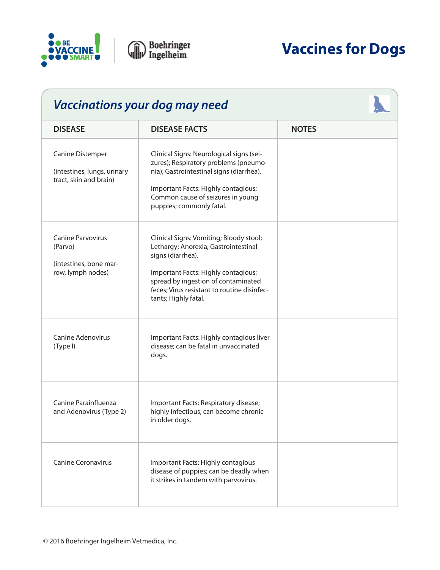

| <b>Vaccinations your dog may need</b>                                              |                                                                                                                                                                                                                                                           |              |  |
|------------------------------------------------------------------------------------|-----------------------------------------------------------------------------------------------------------------------------------------------------------------------------------------------------------------------------------------------------------|--------------|--|
| <b>DISEASE</b>                                                                     | <b>DISEASE FACTS</b>                                                                                                                                                                                                                                      | <b>NOTES</b> |  |
| <b>Canine Distemper</b><br>(intestines, lungs, urinary<br>tract, skin and brain)   | Clinical Signs: Neurological signs (sei-<br>zures); Respiratory problems (pneumo-<br>nia); Gastrointestinal signs (diarrhea).<br>Important Facts: Highly contagious;<br>Common cause of seizures in young<br>puppies; commonly fatal.                     |              |  |
| <b>Canine Parvovirus</b><br>(Parvo)<br>(intestines, bone mar-<br>row, lymph nodes) | Clinical Signs: Vomiting; Bloody stool;<br>Lethargy; Anorexia; Gastrointestinal<br>signs (diarrhea).<br>Important Facts: Highly contagious;<br>spread by ingestion of contaminated<br>feces; Virus resistant to routine disinfec-<br>tants; Highly fatal. |              |  |
| <b>Canine Adenovirus</b><br>(Type I)                                               | Important Facts: Highly contagious liver<br>disease; can be fatal in unvaccinated<br>dogs.                                                                                                                                                                |              |  |
| Canine Parainfluenza<br>and Adenovirus (Type 2)                                    | Important Facts: Respiratory disease;<br>highly infectious; can become chronic<br>in older dogs.                                                                                                                                                          |              |  |
| <b>Canine Coronavirus</b>                                                          | Important Facts: Highly contagious<br>disease of puppies; can be deadly when<br>it strikes in tandem with parvovirus.                                                                                                                                     |              |  |